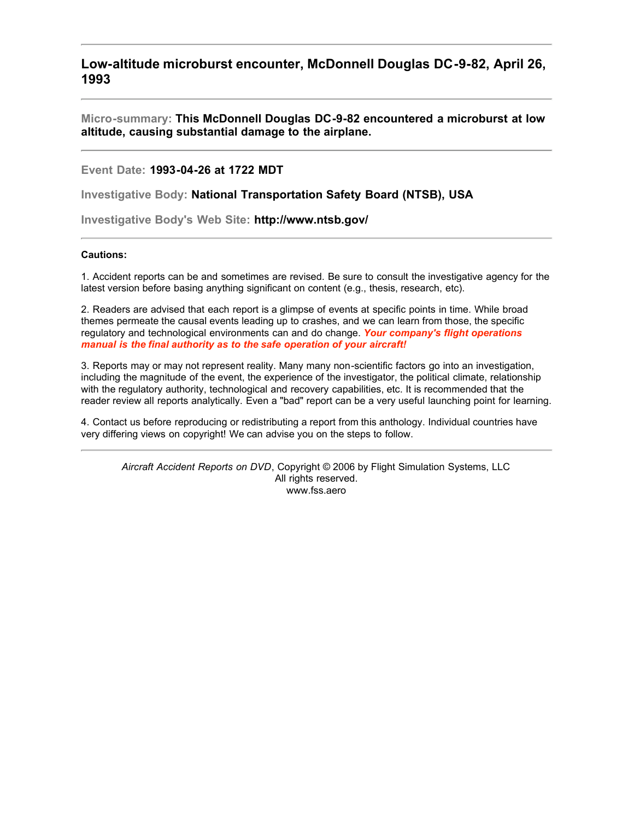**Low-altitude microburst encounter, McDonnell Douglas DC-9-82, April 26, 1993**

**Micro-summary: This McDonnell Douglas DC-9-82 encountered a microburst at low altitude, causing substantial damage to the airplane.**

**Event Date: 1993-04-26 at 1722 MDT**

**Investigative Body: National Transportation Safety Board (NTSB), USA**

**Investigative Body's Web Site: http://www.ntsb.gov/**

# **Cautions:**

1. Accident reports can be and sometimes are revised. Be sure to consult the investigative agency for the latest version before basing anything significant on content (e.g., thesis, research, etc).

2. Readers are advised that each report is a glimpse of events at specific points in time. While broad themes permeate the causal events leading up to crashes, and we can learn from those, the specific regulatory and technological environments can and do change. *Your company's flight operations manual is the final authority as to the safe operation of your aircraft!*

3. Reports may or may not represent reality. Many many non-scientific factors go into an investigation, including the magnitude of the event, the experience of the investigator, the political climate, relationship with the regulatory authority, technological and recovery capabilities, etc. It is recommended that the reader review all reports analytically. Even a "bad" report can be a very useful launching point for learning.

4. Contact us before reproducing or redistributing a report from this anthology. Individual countries have very differing views on copyright! We can advise you on the steps to follow.

*Aircraft Accident Reports on DVD*, Copyright © 2006 by Flight Simulation Systems, LLC All rights reserved. www.fss.aero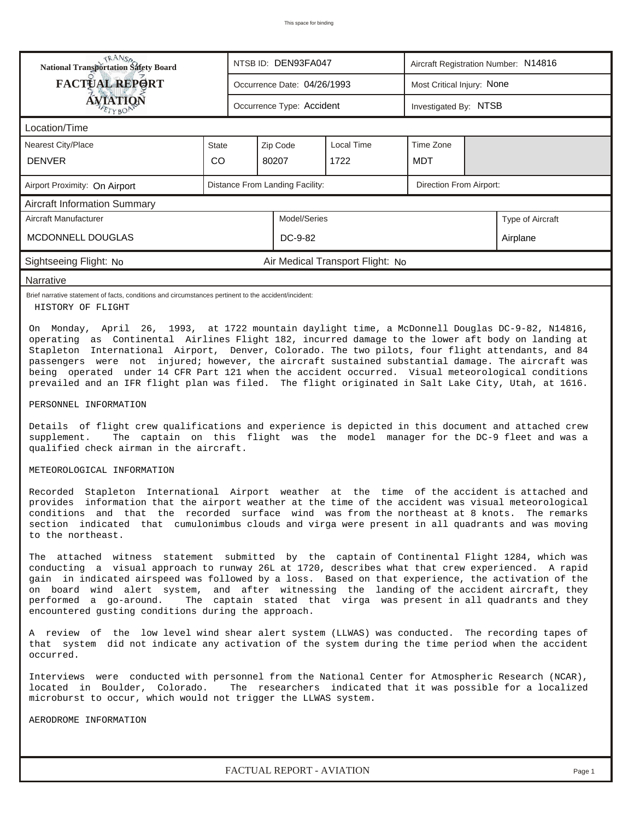| TRANSO<br>National Transportation Safety Board                                                                                                                                                       |                                 |                         | NTSB ID: DEN93FA047         |                                  | Aircraft Registration Number: N14816 |  |  |  |  |
|------------------------------------------------------------------------------------------------------------------------------------------------------------------------------------------------------|---------------------------------|-------------------------|-----------------------------|----------------------------------|--------------------------------------|--|--|--|--|
| FACTUAL REPORT                                                                                                                                                                                       |                                 |                         | Occurrence Date: 04/26/1993 |                                  | Most Critical Injury: None           |  |  |  |  |
| <b>ÁVIATION</b><br>ETYBON                                                                                                                                                                            | Occurrence Type: Accident       |                         | Investigated By: NTSB       |                                  |                                      |  |  |  |  |
| Location/Time                                                                                                                                                                                        |                                 |                         |                             |                                  |                                      |  |  |  |  |
| Nearest City/Place                                                                                                                                                                                   | <b>State</b>                    |                         | Zip Code                    | Local Time                       | Time Zone                            |  |  |  |  |
| <b>DENVER</b>                                                                                                                                                                                        | <b>CO</b>                       |                         | 80207                       | 1722                             | MDT                                  |  |  |  |  |
| Airport Proximity: On Airport                                                                                                                                                                        | Distance From Landing Facility: | Direction From Airport: |                             |                                  |                                      |  |  |  |  |
| <b>Aircraft Information Summary</b>                                                                                                                                                                  |                                 |                         |                             |                                  |                                      |  |  |  |  |
| Aircraft Manufacturer                                                                                                                                                                                | Model/Series                    |                         |                             |                                  | Type of Aircraft                     |  |  |  |  |
| <b>MCDONNELL DOUGLAS</b>                                                                                                                                                                             | DC-9-82                         |                         |                             | Airplane                         |                                      |  |  |  |  |
| Sightseeing Flight: No                                                                                                                                                                               |                                 |                         |                             | Air Medical Transport Flight: No |                                      |  |  |  |  |
| Narrative                                                                                                                                                                                            |                                 |                         |                             |                                  |                                      |  |  |  |  |
| Brief narrative statement of facts, conditions and circumstances pertinent to the accident/incident:<br>HISTORY OF FLIGHT                                                                            |                                 |                         |                             |                                  |                                      |  |  |  |  |
| On Monday, April 26, 1993, at 1722 mountain daylight time, a McDonnell Douglas DC-9-82, N14816,<br>operating as Continental Airlines Flight 182, incurred damage to the lower aft body on landing at |                                 |                         |                             |                                  |                                      |  |  |  |  |

Stapleton International Airport, Denver, Colorado. The two pilots, four flight attendants, and 84 passengers were not injured; however, the aircraft sustained substantial damage. The aircraft was being operated under 14 CFR Part 121 when the accident occurred. Visual meteorological conditions prevailed and an IFR flight plan was filed. The flight originated in Salt Lake City, Utah, at 1616.

PERSONNEL INFORMATION

Details of flight crew qualifications and experience is depicted in this document and attached crew supplement. The captain on this flight was the model manager for the DC-9 fleet and was a qualified check airman in the aircraft.

#### METEOROLOGICAL INFORMATION

Recorded Stapleton International Airport weather at the time of the accident is attached and provides information that the airport weather at the time of the accident was visual meteorological conditions and that the recorded surface wind was from the northeast at 8 knots. The remarks section indicated that cumulonimbus clouds and virga were present in all quadrants and was moving to the northeast.

The attached witness statement submitted by the captain of Continental Flight 1284, which was conducting a visual approach to runway 26L at 1720, describes what that crew experienced. A rapid gain in indicated airspeed was followed by a loss. Based on that experience, the activation of the on board wind alert system, and after witnessing the landing of the accident aircraft, they performed a go-around. The captain stated that virga was present in all quadrants and they encountered gusting conditions during the approach.

A review of the low level wind shear alert system (LLWAS) was conducted. The recording tapes of that system did not indicate any activation of the system during the time period when the accident occurred.

Interviews were conducted with personnel from the National Center for Atmospheric Research (NCAR), located in Boulder, Colorado. The researchers indicated that it was possible for a localized microburst to occur, which would not trigger the LLWAS system.

AERODROME INFORMATION

*FACTUAL REPORT - AVIATION Page 1*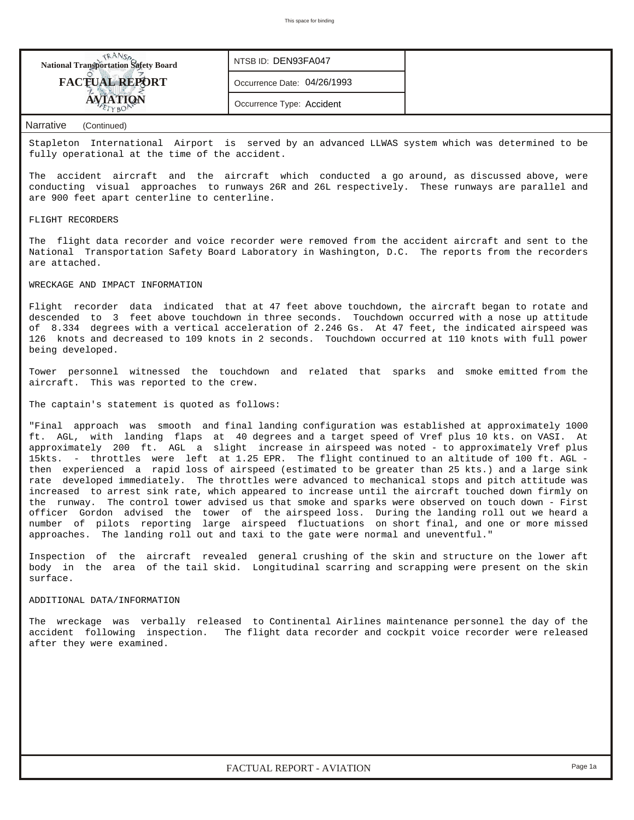| <b>NANSO</b><br>National Transportation Safety Board |
|------------------------------------------------------|
| <b>FACTUAL REPORT</b>                                |
|                                                      |

*NTSB ID:* DEN93FA047

*Occurrence Date:* 04/26/1993

*Occurrence Type:* Accident

### *Narrative (Continued)*

Stapleton International Airport is served by an advanced LLWAS system which was determined to be fully operational at the time of the accident.

The accident aircraft and the aircraft which conducted a go around, as discussed above, were conducting visual approaches to runways 26R and 26L respectively. These runways are parallel and are 900 feet apart centerline to centerline.

#### FLIGHT RECORDERS

The flight data recorder and voice recorder were removed from the accident aircraft and sent to the National Transportation Safety Board Laboratory in Washington, D.C. The reports from the recorders are attached.

## WRECKAGE AND IMPACT INFORMATION

Flight recorder data indicated that at 47 feet above touchdown, the aircraft began to rotate and descended to 3 feet above touchdown in three seconds. Touchdown occurred with a nose up attitude of 8.334 degrees with a vertical acceleration of 2.246 Gs. At 47 feet, the indicated airspeed was 126 knots and decreased to 109 knots in 2 seconds. Touchdown occurred at 110 knots with full power being developed.

Tower personnel witnessed the touchdown and related that sparks and smoke emitted from the aircraft. This was reported to the crew.

The captain's statement is quoted as follows:

"Final approach was smooth and final landing configuration was established at approximately 1000 ft. AGL, with landing flaps at 40 degrees and a target speed of Vref plus 10 kts. on VASI. At approximately 200 ft. AGL a slight increase in airspeed was noted - to approximately Vref plus 15kts. - throttles were left at 1.25 EPR. The flight continued to an altitude of 100 ft. AGL then experienced a rapid loss of airspeed (estimated to be greater than 25 kts.) and a large sink rate developed immediately. The throttles were advanced to mechanical stops and pitch attitude was increased to arrest sink rate, which appeared to increase until the aircraft touched down firmly on the runway. The control tower advised us that smoke and sparks were observed on touch down - First officer Gordon advised the tower of the airspeed loss. During the landing roll out we heard a number of pilots reporting large airspeed fluctuations on short final, and one or more missed approaches. The landing roll out and taxi to the gate were normal and uneventful."

Inspection of the aircraft revealed general crushing of the skin and structure on the lower aft body in the area of the tail skid. Longitudinal scarring and scrapping were present on the skin surface.

#### ADDITIONAL DATA/INFORMATION

The wreckage was verbally released to Continental Airlines maintenance personnel the day of the accident following inspection. The flight data recorder and cockpit voice recorder were released after they were examined.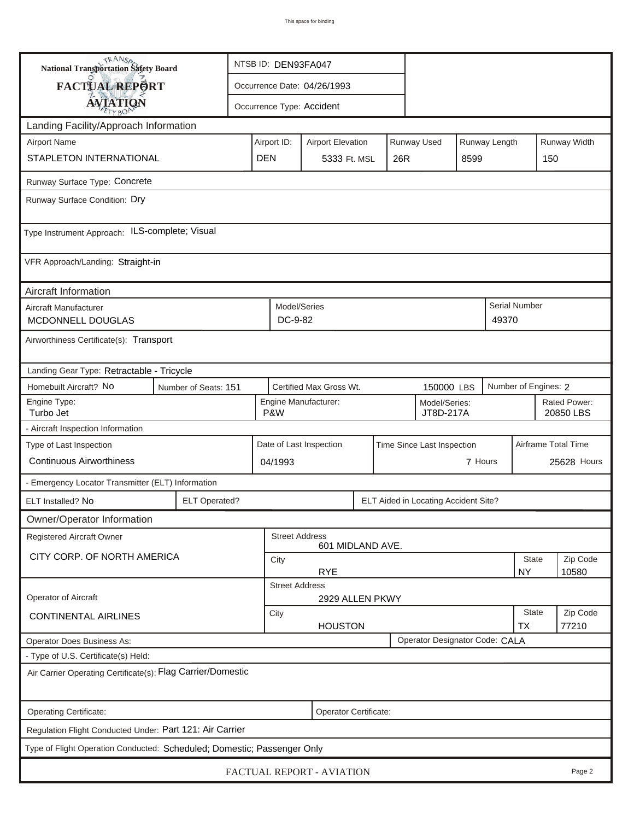| <b>National Transportation Safety Board</b>                                                                     |                                                              |                                                                         |                         | NTSB ID: DEN93FA047 |     |  |                           |                           |                     |                      |             |  |  |  |  |
|-----------------------------------------------------------------------------------------------------------------|--------------------------------------------------------------|-------------------------------------------------------------------------|-------------------------|---------------------|-----|--|---------------------------|---------------------------|---------------------|----------------------|-------------|--|--|--|--|
| FACTUAL REPORT                                                                                                  |                                                              | Occurrence Date: 04/26/1993                                             |                         |                     |     |  |                           |                           |                     |                      |             |  |  |  |  |
|                                                                                                                 | <b>AVIATION</b>                                              |                                                                         |                         |                     |     |  | Occurrence Type: Accident |                           |                     |                      |             |  |  |  |  |
| Landing Facility/Approach Information                                                                           |                                                              |                                                                         |                         |                     |     |  |                           |                           |                     |                      |             |  |  |  |  |
| <b>Airport Name</b>                                                                                             |                                                              | Runway Used<br>Runway Length<br>Airport ID:<br><b>Airport Elevation</b> |                         |                     |     |  |                           |                           |                     | Runway Width         |             |  |  |  |  |
| STAPLETON INTERNATIONAL                                                                                         | <b>DEN</b>                                                   |                                                                         | 5333 Ft. MSL            |                     | 26R |  | 8599                      | 150                       |                     |                      |             |  |  |  |  |
| Runway Surface Type: Concrete                                                                                   |                                                              |                                                                         |                         |                     |     |  |                           |                           |                     |                      |             |  |  |  |  |
| Runway Surface Condition: Dry                                                                                   |                                                              |                                                                         |                         |                     |     |  |                           |                           |                     |                      |             |  |  |  |  |
| Type Instrument Approach: ILS-complete; Visual                                                                  |                                                              |                                                                         |                         |                     |     |  |                           |                           |                     |                      |             |  |  |  |  |
| VFR Approach/Landing: Straight-in                                                                               |                                                              |                                                                         |                         |                     |     |  |                           |                           |                     |                      |             |  |  |  |  |
| Aircraft Information                                                                                            |                                                              |                                                                         |                         |                     |     |  |                           |                           |                     |                      |             |  |  |  |  |
| Aircraft Manufacturer<br>MCDONNELL DOUGLAS                                                                      |                                                              |                                                                         | Model/Series<br>DC-9-82 |                     |     |  |                           |                           | 49370               | <b>Serial Number</b> |             |  |  |  |  |
| Airworthiness Certificate(s): Transport                                                                         |                                                              |                                                                         |                         |                     |     |  |                           |                           |                     |                      |             |  |  |  |  |
|                                                                                                                 | Landing Gear Type: Retractable - Tricycle                    |                                                                         |                         |                     |     |  |                           |                           |                     |                      |             |  |  |  |  |
| Homebuilt Aircraft? No<br>Certified Max Gross Wt.<br>Number of Engines: 2<br>Number of Seats: 151<br>150000 LBS |                                                              |                                                                         |                         |                     |     |  |                           |                           |                     |                      |             |  |  |  |  |
| Engine Type:<br>Turbo Jet                                                                                       | Engine Manufacturer:<br>Model/Series:<br>P&W<br>JT8D-217A    |                                                                         |                         |                     |     |  |                           | Rated Power:<br>20850 LBS |                     |                      |             |  |  |  |  |
| - Aircraft Inspection Information                                                                               |                                                              |                                                                         |                         |                     |     |  |                           |                           |                     |                      |             |  |  |  |  |
| Type of Last Inspection                                                                                         |                                                              | Date of Last Inspection<br>Time Since Last Inspection                   |                         |                     |     |  |                           |                           | Airframe Total Time |                      |             |  |  |  |  |
| <b>Continuous Airworthiness</b>                                                                                 |                                                              | 04/1993                                                                 |                         |                     |     |  | 7 Hours                   |                           |                     |                      | 25628 Hours |  |  |  |  |
| - Emergency Locator Transmitter (ELT) Information                                                               |                                                              |                                                                         |                         |                     |     |  |                           |                           |                     |                      |             |  |  |  |  |
| ELT Installed? No                                                                                               | <b>ELT Operated?</b><br>ELT Aided in Locating Accident Site? |                                                                         |                         |                     |     |  |                           |                           |                     |                      |             |  |  |  |  |
| Owner/Operator Information                                                                                      |                                                              |                                                                         |                         |                     |     |  |                           |                           |                     |                      |             |  |  |  |  |
| Registered Aircraft Owner                                                                                       |                                                              |                                                                         | <b>Street Address</b>   | 601 MIDLAND AVE.    |     |  |                           |                           |                     |                      |             |  |  |  |  |
| CITY CORP. OF NORTH AMERICA                                                                                     |                                                              | City                                                                    |                         |                     |     |  |                           |                           | <b>State</b>        | Zip Code             |             |  |  |  |  |
|                                                                                                                 |                                                              | <b>RYE</b><br><b>NY</b><br>10580<br><b>Street Address</b>               |                         |                     |     |  |                           |                           |                     |                      |             |  |  |  |  |
| Operator of Aircraft                                                                                            |                                                              |                                                                         |                         | 2929 ALLEN PKWY     |     |  |                           |                           |                     |                      |             |  |  |  |  |
| <b>CONTINENTAL AIRLINES</b>                                                                                     | City<br><b>HOUSTON</b>                                       |                                                                         |                         |                     |     |  | <b>State</b><br><b>TX</b> | Zip Code<br>77210         |                     |                      |             |  |  |  |  |
| Operator Designator Code: CALA<br><b>Operator Does Business As:</b>                                             |                                                              |                                                                         |                         |                     |     |  |                           |                           |                     |                      |             |  |  |  |  |
| - Type of U.S. Certificate(s) Held:                                                                             |                                                              |                                                                         |                         |                     |     |  |                           |                           |                     |                      |             |  |  |  |  |
| Air Carrier Operating Certificate(s): Flag Carrier/Domestic                                                     |                                                              |                                                                         |                         |                     |     |  |                           |                           |                     |                      |             |  |  |  |  |
| Operating Certificate:<br>Operator Certificate:                                                                 |                                                              |                                                                         |                         |                     |     |  |                           |                           |                     |                      |             |  |  |  |  |
| Regulation Flight Conducted Under: Part 121: Air Carrier                                                        |                                                              |                                                                         |                         |                     |     |  |                           |                           |                     |                      |             |  |  |  |  |
| Type of Flight Operation Conducted: Scheduled; Domestic; Passenger Only                                         |                                                              |                                                                         |                         |                     |     |  |                           |                           |                     |                      |             |  |  |  |  |
| FACTUAL REPORT - AVIATION<br>Page 2                                                                             |                                                              |                                                                         |                         |                     |     |  |                           |                           |                     |                      |             |  |  |  |  |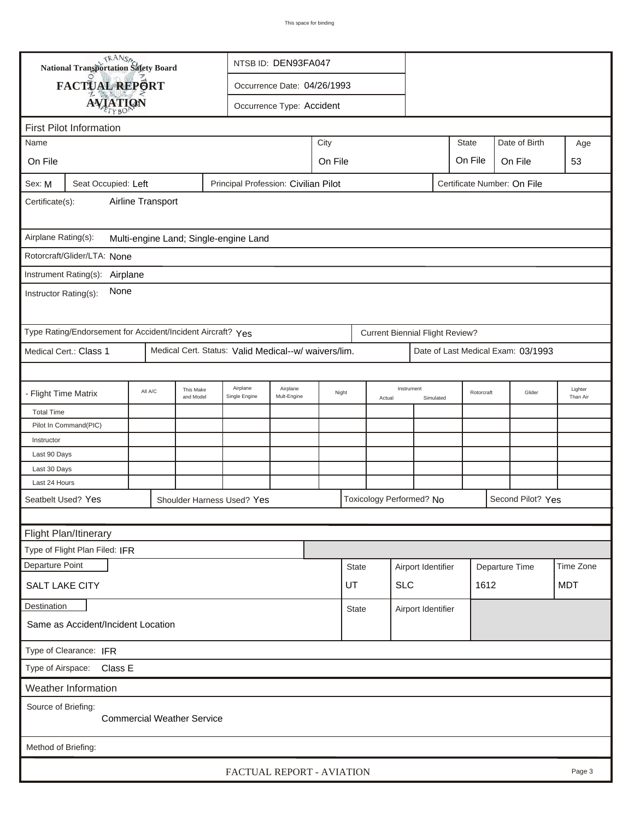| <b>National Transportation Safety Board</b>                                                          |                                                             |         |                        |                                                      | NTSB ID: DEN93FA047       |         |                  |        |                                        |      |              |                                    |                     |
|------------------------------------------------------------------------------------------------------|-------------------------------------------------------------|---------|------------------------|------------------------------------------------------|---------------------------|---------|------------------|--------|----------------------------------------|------|--------------|------------------------------------|---------------------|
|                                                                                                      | FACTUAL REPORT                                              |         |                        | Occurrence Date: 04/26/1993                          |                           |         |                  |        |                                        |      |              |                                    |                     |
|                                                                                                      |                                                             |         |                        |                                                      | Occurrence Type: Accident |         |                  |        |                                        |      |              |                                    |                     |
|                                                                                                      | <b>AVIATION</b>                                             |         |                        |                                                      |                           |         |                  |        |                                        |      |              |                                    |                     |
| <b>First Pilot Information</b>                                                                       |                                                             |         |                        |                                                      |                           |         |                  |        |                                        |      |              |                                    |                     |
| City<br>Name                                                                                         |                                                             |         |                        |                                                      |                           |         |                  |        |                                        |      | <b>State</b> | Date of Birth                      | Age                 |
| On File                                                                                              |                                                             |         |                        |                                                      |                           | On File |                  |        |                                        |      | On File      | On File                            | 53                  |
| Sex: M<br>Seat Occupied: Left<br>Principal Profession: Civilian Pilot<br>Certificate Number: On File |                                                             |         |                        |                                                      |                           |         |                  |        |                                        |      |              |                                    |                     |
| Airline Transport<br>Certificate(s):                                                                 |                                                             |         |                        |                                                      |                           |         |                  |        |                                        |      |              |                                    |                     |
| Airplane Rating(s):<br>Multi-engine Land; Single-engine Land                                         |                                                             |         |                        |                                                      |                           |         |                  |        |                                        |      |              |                                    |                     |
|                                                                                                      | Rotorcraft/Glider/LTA: None                                 |         |                        |                                                      |                           |         |                  |        |                                        |      |              |                                    |                     |
|                                                                                                      | Instrument Rating(s):                                       |         |                        |                                                      |                           |         |                  |        |                                        |      |              |                                    |                     |
| Airplane<br>None<br>Instructor Rating(s):                                                            |                                                             |         |                        |                                                      |                           |         |                  |        |                                        |      |              |                                    |                     |
|                                                                                                      | Type Rating/Endorsement for Accident/Incident Aircraft? Yes |         |                        |                                                      |                           |         |                  |        | <b>Current Biennial Flight Review?</b> |      |              |                                    |                     |
|                                                                                                      | Medical Cert.: Class 1                                      |         |                        | Medical Cert. Status: Valid Medical--w/ waivers/lim. |                           |         |                  |        |                                        |      |              | Date of Last Medical Exam: 03/1993 |                     |
|                                                                                                      |                                                             |         |                        |                                                      |                           |         |                  |        |                                        |      |              |                                    |                     |
|                                                                                                      | - Flight Time Matrix                                        | All A/C | This Make<br>and Model | Airplane<br>Single Engine                            | Airplane<br>Mult-Engine   | Night   |                  | Actual | Instrument<br>Simulated                |      | Rotorcraft   | Glider                             | Lighter<br>Than Air |
| <b>Total Time</b>                                                                                    |                                                             |         |                        |                                                      |                           |         |                  |        |                                        |      |              |                                    |                     |
|                                                                                                      | Pilot In Command(PIC)                                       |         |                        |                                                      |                           |         |                  |        |                                        |      |              |                                    |                     |
| Instructor<br>Last 90 Days                                                                           |                                                             |         |                        |                                                      |                           |         |                  |        |                                        |      |              |                                    |                     |
| Last 30 Days                                                                                         |                                                             |         |                        |                                                      |                           |         |                  |        |                                        |      |              |                                    |                     |
| Last 24 Hours                                                                                        |                                                             |         |                        |                                                      |                           |         |                  |        |                                        |      |              |                                    |                     |
|                                                                                                      | Seatbelt Used? Yes                                          |         |                        | Shoulder Harness Used? Yes                           |                           |         |                  |        | Toxicology Performed? No               |      |              | Second Pilot? Yes                  |                     |
|                                                                                                      |                                                             |         |                        |                                                      |                           |         |                  |        |                                        |      |              |                                    |                     |
|                                                                                                      | Flight Plan/Itinerary                                       |         |                        |                                                      |                           |         |                  |        |                                        |      |              |                                    |                     |
|                                                                                                      | Type of Flight Plan Filed: IFR                              |         |                        |                                                      |                           |         |                  |        |                                        |      |              |                                    |                     |
| Departure Point                                                                                      |                                                             |         |                        |                                                      |                           |         | <b>State</b>     |        | Airport Identifier                     |      |              | Departure Time                     | Time Zone           |
|                                                                                                      | SALT LAKE CITY                                              |         |                        |                                                      |                           |         | <b>SLC</b><br>UT |        |                                        | 1612 |              |                                    | <b>MDT</b>          |
| Destination                                                                                          |                                                             |         |                        |                                                      |                           |         | <b>State</b>     |        | Airport Identifier                     |      |              |                                    |                     |
| Same as Accident/Incident Location                                                                   |                                                             |         |                        |                                                      |                           |         |                  |        |                                        |      |              |                                    |                     |
| Type of Clearance: IFR                                                                               |                                                             |         |                        |                                                      |                           |         |                  |        |                                        |      |              |                                    |                     |
| Type of Airspace: Class E                                                                            |                                                             |         |                        |                                                      |                           |         |                  |        |                                        |      |              |                                    |                     |
|                                                                                                      | Weather Information                                         |         |                        |                                                      |                           |         |                  |        |                                        |      |              |                                    |                     |
| Source of Briefing:<br><b>Commercial Weather Service</b>                                             |                                                             |         |                        |                                                      |                           |         |                  |        |                                        |      |              |                                    |                     |
| Method of Briefing:                                                                                  |                                                             |         |                        |                                                      |                           |         |                  |        |                                        |      |              |                                    |                     |
| FACTUAL REPORT - AVIATION<br>Page 3                                                                  |                                                             |         |                        |                                                      |                           |         |                  |        |                                        |      |              |                                    |                     |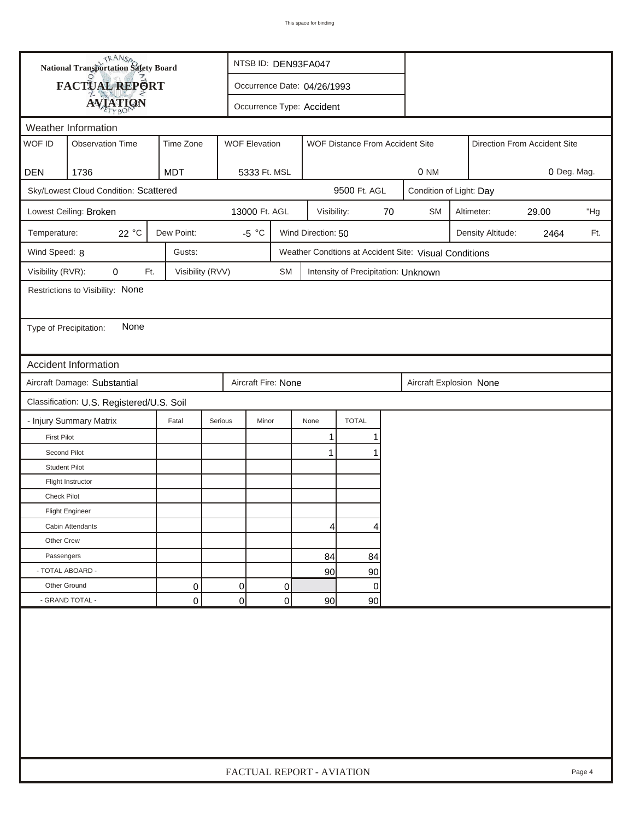| <b>National Transportation Safety Board</b> |                                           |                  |                | NTSB ID: DEN93FA047       |           |                             |                                                       |    |                              |                         |                   |      |     |
|---------------------------------------------|-------------------------------------------|------------------|----------------|---------------------------|-----------|-----------------------------|-------------------------------------------------------|----|------------------------------|-------------------------|-------------------|------|-----|
|                                             | <b>FACTUAL REPORT</b>                     |                  |                |                           |           | Occurrence Date: 04/26/1993 |                                                       |    |                              |                         |                   |      |     |
|                                             | <b>AVIATION</b>                           |                  |                | Occurrence Type: Accident |           |                             |                                                       |    |                              |                         |                   |      |     |
|                                             | Weather Information                       |                  |                |                           |           |                             |                                                       |    |                              |                         |                   |      |     |
| WOF ID                                      | <b>Observation Time</b>                   | Time Zone        |                | <b>WOF Elevation</b>      |           |                             | WOF Distance From Accident Site                       |    | Direction From Accident Site |                         |                   |      |     |
|                                             |                                           |                  |                |                           |           |                             |                                                       |    |                              |                         |                   |      |     |
| <b>DEN</b>                                  | 1736                                      | <b>MDT</b>       |                | 5333 Ft. MSL              |           |                             |                                                       |    | 0 NM<br>0 Deg. Mag.          |                         |                   |      |     |
|                                             | Sky/Lowest Cloud Condition: Scattered     |                  |                |                           |           |                             | 9500 Ft. AGL                                          |    |                              | Condition of Light: Day |                   |      |     |
|                                             | Lowest Ceiling: Broken                    |                  |                | 13000 Ft. AGL             |           | Visibility:                 |                                                       | 70 | <b>SM</b>                    | Altimeter:<br>29.00     |                   |      | "Hg |
| Temperature:                                | 22 °C                                     | Dew Point:       |                | $-5 °C$                   |           | Wind Direction: 50          |                                                       |    |                              |                         | Density Altitude: | 2464 | Ft. |
| Wind Speed: 8                               |                                           | Gusts:           |                |                           |           |                             | Weather Condtions at Accident Site: Visual Conditions |    |                              |                         |                   |      |     |
| Visibility (RVR):                           | 0<br>Ft.                                  | Visibility (RVV) |                |                           | <b>SM</b> |                             | Intensity of Precipitation: Unknown                   |    |                              |                         |                   |      |     |
|                                             | Restrictions to Visibility: None          |                  |                |                           |           |                             |                                                       |    |                              |                         |                   |      |     |
|                                             |                                           |                  |                |                           |           |                             |                                                       |    |                              |                         |                   |      |     |
| Type of Precipitation:                      | None                                      |                  |                |                           |           |                             |                                                       |    |                              |                         |                   |      |     |
|                                             |                                           |                  |                |                           |           |                             |                                                       |    |                              |                         |                   |      |     |
|                                             | <b>Accident Information</b>               |                  |                |                           |           |                             |                                                       |    |                              |                         |                   |      |     |
|                                             | Aircraft Damage: Substantial              |                  |                | Aircraft Fire: None       |           |                             |                                                       |    | Aircraft Explosion None      |                         |                   |      |     |
|                                             | Classification: U.S. Registered/U.S. Soil |                  |                |                           |           |                             |                                                       |    |                              |                         |                   |      |     |
|                                             | - Injury Summary Matrix                   | Fatal            | Serious        | Minor                     |           | None                        | <b>TOTAL</b>                                          |    |                              |                         |                   |      |     |
| <b>First Pilot</b>                          |                                           |                  |                |                           |           | 1                           | 1                                                     |    |                              |                         |                   |      |     |
| Second Pilot                                |                                           |                  |                |                           |           | 1                           | 1                                                     |    |                              |                         |                   |      |     |
| <b>Student Pilot</b>                        |                                           |                  |                |                           |           |                             |                                                       |    |                              |                         |                   |      |     |
|                                             | Flight Instructor                         |                  |                |                           |           |                             |                                                       |    |                              |                         |                   |      |     |
| <b>Check Pilot</b>                          |                                           |                  |                |                           |           |                             |                                                       |    |                              |                         |                   |      |     |
|                                             | <b>Flight Engineer</b>                    |                  |                |                           |           |                             |                                                       |    |                              |                         |                   |      |     |
|                                             | Cabin Attendants                          |                  |                |                           |           | 4                           | 4                                                     |    |                              |                         |                   |      |     |
| Other Crew                                  |                                           |                  |                |                           |           |                             |                                                       |    |                              |                         |                   |      |     |
| Passengers                                  |                                           |                  |                |                           |           | 84                          | 84                                                    |    |                              |                         |                   |      |     |
| - TOTAL ABOARD -                            |                                           |                  |                |                           |           | 90 <sub>l</sub>             | 90                                                    |    |                              |                         |                   |      |     |
| Other Ground                                |                                           | 0                | $\overline{0}$ |                           | 0         |                             | $\overline{0}$                                        |    |                              |                         |                   |      |     |
|                                             | - GRAND TOTAL -                           | 0                | $\Omega$       |                           | 0         | 90 <sub>0</sub>             | 90                                                    |    |                              |                         |                   |      |     |
|                                             |                                           |                  |                |                           |           |                             |                                                       |    |                              |                         |                   |      |     |
|                                             | FACTUAL REPORT - AVIATION<br>Page 4       |                  |                |                           |           |                             |                                                       |    |                              |                         |                   |      |     |